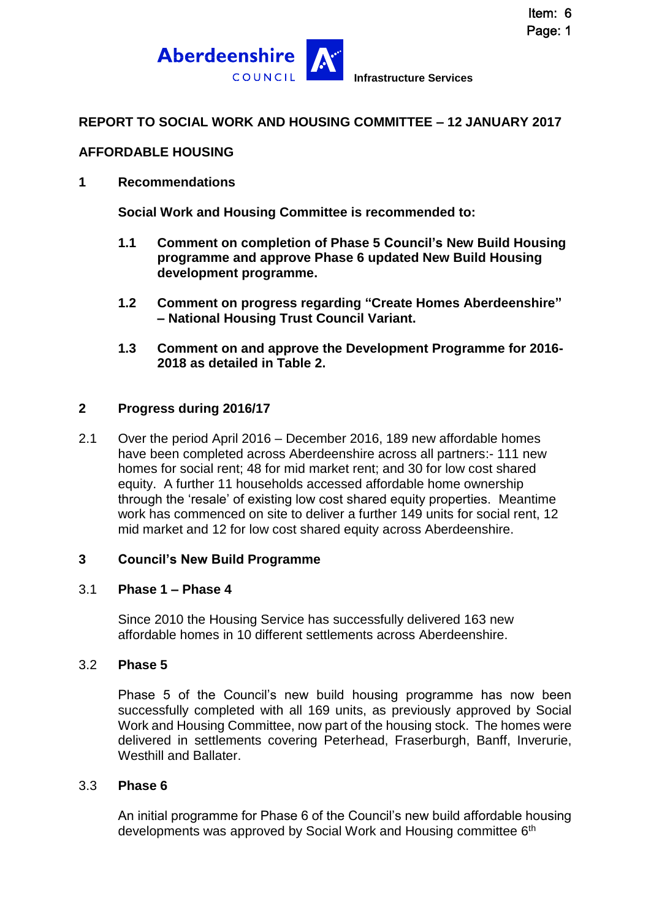



## **REPORT TO SOCIAL WORK AND HOUSING COMMITTEE – 12 JANUARY 2017**

### **AFFORDABLE HOUSING**

### **1 Recommendations**

**Social Work and Housing Committee is recommended to:**

- **1.1 Comment on completion of Phase 5 Council's New Build Housing programme and approve Phase 6 updated New Build Housing development programme.**
- **1.2 Comment on progress regarding "Create Homes Aberdeenshire" – National Housing Trust Council Variant.**
- **1.3 Comment on and approve the Development Programme for 2016- 2018 as detailed in Table 2.**

### **2 Progress during 2016/17**

2.1 Over the period April 2016 – December 2016, 189 new affordable homes have been completed across Aberdeenshire across all partners:- 111 new homes for social rent; 48 for mid market rent; and 30 for low cost shared equity. A further 11 households accessed affordable home ownership through the 'resale' of existing low cost shared equity properties. Meantime work has commenced on site to deliver a further 149 units for social rent, 12 mid market and 12 for low cost shared equity across Aberdeenshire.

### **3 Council's New Build Programme**

#### 3.1 **Phase 1 – Phase 4**

Since 2010 the Housing Service has successfully delivered 163 new affordable homes in 10 different settlements across Aberdeenshire.

#### 3.2 **Phase 5**

Phase 5 of the Council's new build housing programme has now been successfully completed with all 169 units, as previously approved by Social Work and Housing Committee, now part of the housing stock. The homes were delivered in settlements covering Peterhead, Fraserburgh, Banff, Inverurie, Westhill and Ballater.

#### 3.3 **Phase 6**

An initial programme for Phase 6 of the Council's new build affordable housing developments was approved by Social Work and Housing committee 6th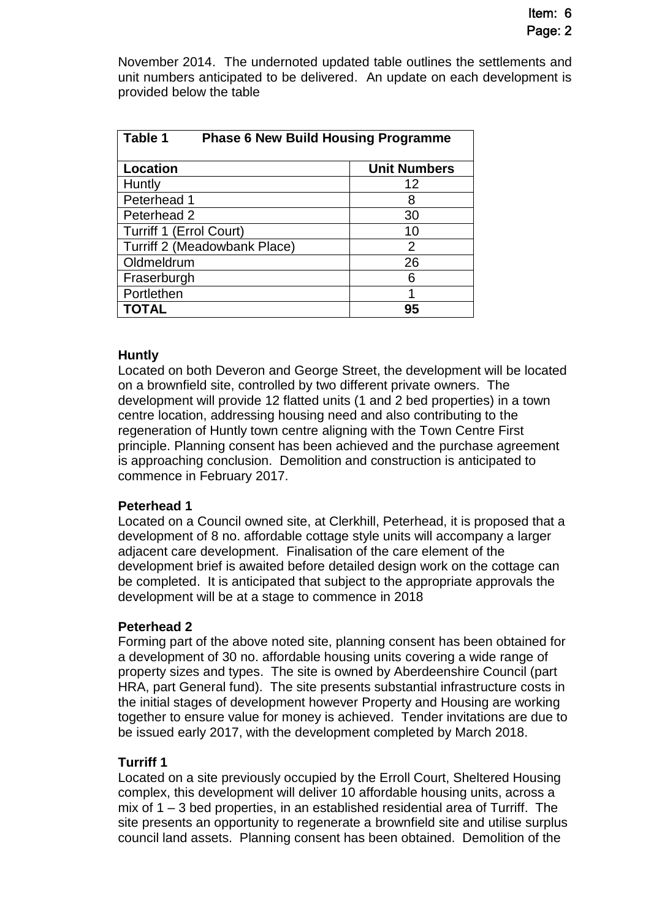November 2014. The undernoted updated table outlines the settlements and unit numbers anticipated to be delivered. An update on each development is provided below the table

| Table 1<br><b>Phase 6 New Build Housing Programme</b> |                     |  |  |  |  |  |  |
|-------------------------------------------------------|---------------------|--|--|--|--|--|--|
| <b>Location</b>                                       | <b>Unit Numbers</b> |  |  |  |  |  |  |
| Huntly                                                | 12                  |  |  |  |  |  |  |
| Peterhead 1                                           | 8                   |  |  |  |  |  |  |
| Peterhead 2                                           | 30                  |  |  |  |  |  |  |
| <b>Turriff 1 (Errol Court)</b>                        | 10                  |  |  |  |  |  |  |
| Turriff 2 (Meadowbank Place)                          | $\overline{2}$      |  |  |  |  |  |  |
| Oldmeldrum                                            | 26                  |  |  |  |  |  |  |
| Fraserburgh                                           | հ                   |  |  |  |  |  |  |
| Portlethen                                            |                     |  |  |  |  |  |  |
| <b>TOTAL</b>                                          | 95                  |  |  |  |  |  |  |

### **Huntly**

Located on both Deveron and George Street, the development will be located on a brownfield site, controlled by two different private owners. The development will provide 12 flatted units (1 and 2 bed properties) in a town centre location, addressing housing need and also contributing to the regeneration of Huntly town centre aligning with the Town Centre First principle. Planning consent has been achieved and the purchase agreement is approaching conclusion. Demolition and construction is anticipated to commence in February 2017.

### **Peterhead 1**

Located on a Council owned site, at Clerkhill, Peterhead, it is proposed that a development of 8 no. affordable cottage style units will accompany a larger adjacent care development. Finalisation of the care element of the development brief is awaited before detailed design work on the cottage can be completed. It is anticipated that subject to the appropriate approvals the development will be at a stage to commence in 2018

# **Peterhead 2**

Forming part of the above noted site, planning consent has been obtained for a development of 30 no. affordable housing units covering a wide range of property sizes and types. The site is owned by Aberdeenshire Council (part HRA, part General fund). The site presents substantial infrastructure costs in the initial stages of development however Property and Housing are working together to ensure value for money is achieved. Tender invitations are due to be issued early 2017, with the development completed by March 2018.

# **Turriff 1**

Located on a site previously occupied by the Erroll Court, Sheltered Housing complex, this development will deliver 10 affordable housing units, across a mix of 1 – 3 bed properties, in an established residential area of Turriff. The site presents an opportunity to regenerate a brownfield site and utilise surplus council land assets. Planning consent has been obtained. Demolition of the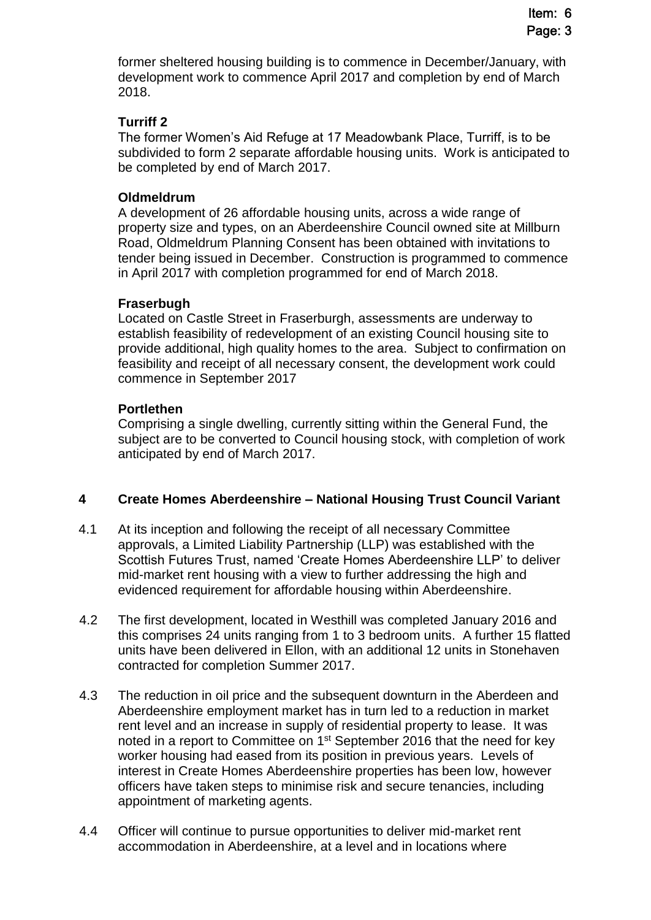former sheltered housing building is to commence in December/January, with development work to commence April 2017 and completion by end of March 2018.

### **Turriff 2**

The former Women's Aid Refuge at 17 Meadowbank Place, Turriff, is to be subdivided to form 2 separate affordable housing units. Work is anticipated to be completed by end of March 2017.

### **Oldmeldrum**

A development of 26 affordable housing units, across a wide range of property size and types, on an Aberdeenshire Council owned site at Millburn Road, Oldmeldrum Planning Consent has been obtained with invitations to tender being issued in December. Construction is programmed to commence in April 2017 with completion programmed for end of March 2018.

#### **Fraserbugh**

Located on Castle Street in Fraserburgh, assessments are underway to establish feasibility of redevelopment of an existing Council housing site to provide additional, high quality homes to the area. Subject to confirmation on feasibility and receipt of all necessary consent, the development work could commence in September 2017

#### **Portlethen**

Comprising a single dwelling, currently sitting within the General Fund, the subject are to be converted to Council housing stock, with completion of work anticipated by end of March 2017.

### **4 Create Homes Aberdeenshire – National Housing Trust Council Variant**

- 4.1 At its inception and following the receipt of all necessary Committee approvals, a Limited Liability Partnership (LLP) was established with the Scottish Futures Trust, named 'Create Homes Aberdeenshire LLP' to deliver mid-market rent housing with a view to further addressing the high and evidenced requirement for affordable housing within Aberdeenshire.
- 4.2 The first development, located in Westhill was completed January 2016 and this comprises 24 units ranging from 1 to 3 bedroom units. A further 15 flatted units have been delivered in Ellon, with an additional 12 units in Stonehaven contracted for completion Summer 2017.
- 4.3 The reduction in oil price and the subsequent downturn in the Aberdeen and Aberdeenshire employment market has in turn led to a reduction in market rent level and an increase in supply of residential property to lease. It was noted in a report to Committee on 1<sup>st</sup> September 2016 that the need for key worker housing had eased from its position in previous years. Levels of interest in Create Homes Aberdeenshire properties has been low, however officers have taken steps to minimise risk and secure tenancies, including appointment of marketing agents.
- 4.4 Officer will continue to pursue opportunities to deliver mid-market rent accommodation in Aberdeenshire, at a level and in locations where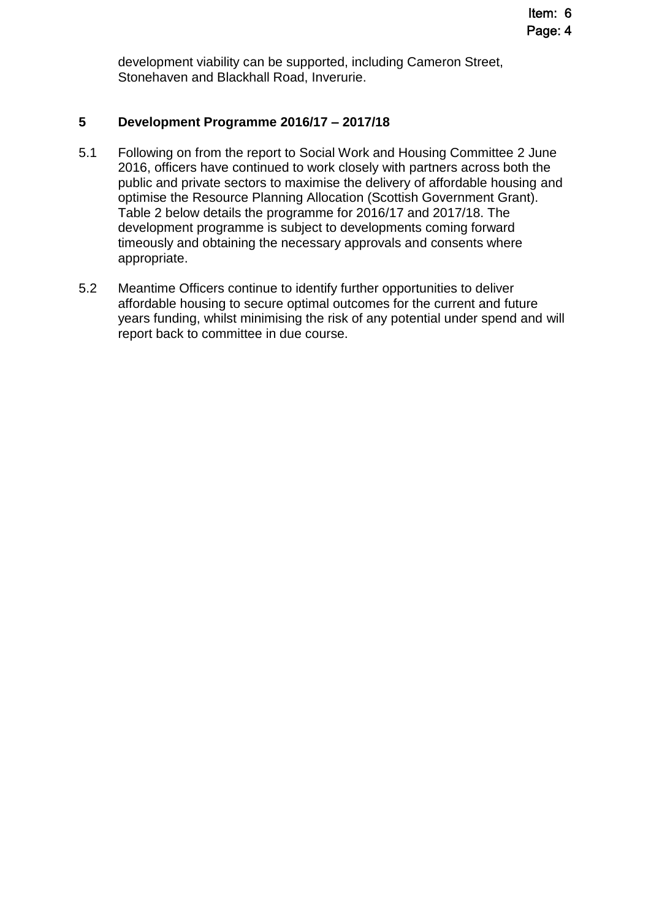development viability can be supported, including Cameron Street, Stonehaven and Blackhall Road, Inverurie.

### **5 Development Programme 2016/17 – 2017/18**

- 5.1 Following on from the report to Social Work and Housing Committee 2 June 2016, officers have continued to work closely with partners across both the public and private sectors to maximise the delivery of affordable housing and optimise the Resource Planning Allocation (Scottish Government Grant). Table 2 below details the programme for 2016/17 and 2017/18. The development programme is subject to developments coming forward timeously and obtaining the necessary approvals and consents where appropriate.
- 5.2 Meantime Officers continue to identify further opportunities to deliver affordable housing to secure optimal outcomes for the current and future years funding, whilst minimising the risk of any potential under spend and will report back to committee in due course.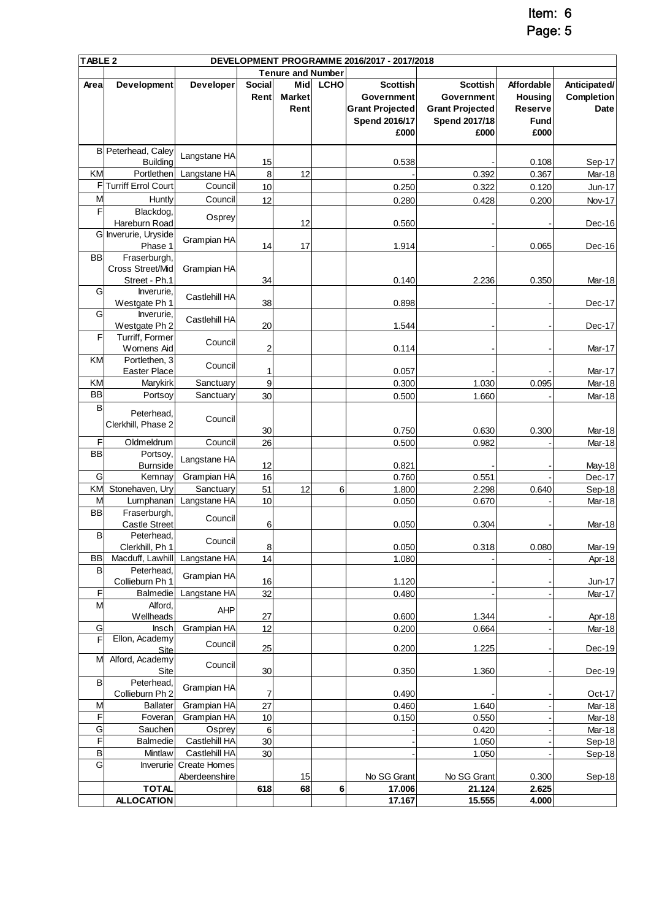Item: 6

Page: 5

|                | TABLE <sub>2</sub><br>DEVELOPMENT PROGRAMME 2016/2017 - 2017/2018 |                        |                         |                          |             |                        |                        |                |                   |
|----------------|-------------------------------------------------------------------|------------------------|-------------------------|--------------------------|-------------|------------------------|------------------------|----------------|-------------------|
|                |                                                                   |                        |                         | <b>Tenure and Number</b> |             |                        |                        |                |                   |
| Area           | Development                                                       | Developer              | <b>Social</b>           | Mid                      | <b>LCHO</b> | <b>Scottish</b>        | <b>Scottish</b>        | Affordable     | Anticipated/      |
|                |                                                                   |                        | Rent                    | <b>Market</b>            |             | Government             | Government             | <b>Housing</b> | <b>Completion</b> |
|                |                                                                   |                        |                         | Rent                     |             | <b>Grant Projected</b> | <b>Grant Projected</b> | Reserve        | Date              |
|                |                                                                   |                        |                         |                          |             | <b>Spend 2016/17</b>   | <b>Spend 2017/18</b>   | <b>Fund</b>    |                   |
|                |                                                                   |                        |                         |                          |             | £000                   | £000                   | £000           |                   |
|                |                                                                   |                        |                         |                          |             |                        |                        |                |                   |
|                | B Peterhead, Caley                                                | Langstane HA           |                         |                          |             |                        |                        |                |                   |
|                | <b>Building</b>                                                   |                        | 15                      |                          |             | 0.538                  |                        | 0.108          | Sep-17            |
| KM             | Portlethen                                                        | Langstane HA           | 8                       | 12                       |             |                        | 0.392                  | 0.367          | Mar-18            |
| F              | <b>Turriff Errol Court</b>                                        | Council                | 10                      |                          |             | 0.250                  | 0.322                  | 0.120          | Jun-17            |
| M              | Huntly                                                            | Council                | 12                      |                          |             | 0.280                  | 0.428                  | 0.200          | Nov-17            |
| F              | Blackdog,                                                         |                        |                         |                          |             |                        |                        |                |                   |
|                | Hareburn Road                                                     | Osprey                 |                         | 12                       |             | 0.560                  |                        |                | Dec-16            |
|                | G Inverurie, Uryside                                              |                        |                         |                          |             |                        |                        |                |                   |
|                | Phase 1                                                           | Grampian HA            | 14                      | 17                       |             | 1.914                  |                        | 0.065          | Dec-16            |
| <b>BB</b>      | Fraserburgh,                                                      |                        |                         |                          |             |                        |                        |                |                   |
|                | Cross Street/Mid                                                  | Grampian HA            |                         |                          |             |                        |                        |                |                   |
|                | Street - Ph.1                                                     |                        | 34                      |                          |             | 0.140                  | 2.236                  | 0.350          | Mar-18            |
| G              | Inverurie.                                                        |                        |                         |                          |             |                        |                        |                |                   |
|                | Westgate Ph 1                                                     | Castlehill HA          | 38                      |                          |             | 0.898                  |                        |                | Dec-17            |
| G              | Inverurie.                                                        |                        |                         |                          |             |                        |                        |                |                   |
|                | Westgate Ph 2                                                     | Castlehill HA          | 20                      |                          |             | 1.544                  |                        |                | Dec-17            |
| F              | Turriff, Former                                                   |                        |                         |                          |             |                        |                        |                |                   |
|                | Womens Aid                                                        | Council                | $\overline{\mathbf{c}}$ |                          |             | 0.114                  |                        |                | Mar-17            |
| KM             | Portlethen, 3                                                     |                        |                         |                          |             |                        |                        |                |                   |
|                | Easter Place                                                      | Council                | 1                       |                          |             | 0.057                  |                        |                | Mar-17            |
| KM             | Marykirk                                                          | Sanctuary              | 9                       |                          |             | 0.300                  | 1.030                  | 0.095          | Mar-18            |
| <b>BB</b>      | Portsoy                                                           | Sanctuary              |                         |                          |             |                        |                        |                |                   |
| B              |                                                                   |                        | 30                      |                          |             | 0.500                  | 1.660                  |                | Mar-18            |
|                | Peterhead,                                                        |                        |                         |                          |             |                        |                        |                |                   |
|                | Clerkhill, Phase 2                                                | Council                |                         |                          |             |                        |                        |                |                   |
| F              |                                                                   |                        | 30                      |                          |             | 0.750                  | 0.630                  | 0.300          | <b>Mar-18</b>     |
|                | Oldmeldrum                                                        | Council                | 26                      |                          |             | 0.500                  | 0.982                  |                | Mar-18            |
| <b>BB</b>      | Portsoy,                                                          | Langstane HA           |                         |                          |             |                        |                        |                |                   |
|                | <b>Burnside</b>                                                   |                        | 12                      |                          |             | 0.821                  |                        |                | May-18            |
| G              | Kemnay                                                            | Grampian HA            | 16                      |                          |             | 0.760                  | 0.551                  |                | Dec-17            |
| KM             | Stonehaven, Ury                                                   | Sanctuary              | 51                      | 12                       | 6           | 1.800                  | 2.298                  | 0.640          | Sep-18            |
| M              | Lumphanan                                                         | Langstane HA           | 10                      |                          |             | 0.050                  | 0.670                  |                | Mar-18            |
| <b>BB</b>      | Fraserburgh,                                                      | Council                |                         |                          |             |                        |                        |                |                   |
|                | <b>Castle Street</b>                                              |                        | 6                       |                          |             | 0.050                  | 0.304                  |                | <b>Mar-18</b>     |
| B              | Peterhead,                                                        | Council                |                         |                          |             |                        |                        |                |                   |
|                | Clerkhill, Ph 1                                                   |                        | 8                       |                          |             | 0.050                  | 0.318                  | 0.080          | Mar-19            |
| <b>BB</b>      | Macduff, Lawhill                                                  | Langstane HA           | 14                      |                          |             | 1.080                  |                        |                | Apr-18            |
| $\sf B$        | Peterhead,                                                        | Grampian HA            |                         |                          |             |                        |                        |                |                   |
|                | Collieburn Ph 1                                                   |                        | 16                      |                          |             | 1.120                  |                        |                | Jun-17            |
| F              | <b>Balmedie</b>                                                   | Langstane HA           | 32                      |                          |             | 0.480                  |                        |                | Mar-17            |
| M              | Alford,                                                           | AHP                    |                         |                          |             |                        |                        |                |                   |
|                | Wellheads                                                         |                        | 27                      |                          |             | 0.600                  | 1.344                  |                | Apr-18            |
| G              | Insch                                                             | Grampian HA            | 12                      |                          |             | 0.200                  | 0.664                  |                | Mar-18            |
| F              | Ellon, Academy                                                    | Council                | 25                      |                          |             |                        |                        |                |                   |
| M              | Site                                                              |                        |                         |                          |             | 0.200                  | 1.225                  |                | Dec-19            |
|                | Alford, Academy                                                   | Council                |                         |                          |             |                        |                        |                |                   |
| B              | Site<br>Peterhead,                                                |                        | 30                      |                          |             | 0.350                  | 1.360                  |                | Dec-19            |
|                | Collieburn Ph 2                                                   | Grampian HA            | 7                       |                          |             | 0.490                  |                        |                | Oct-17            |
| M              | <b>Ballater</b>                                                   | Grampian HA            | 27                      |                          |             | 0.460                  |                        |                |                   |
|                |                                                                   |                        |                         |                          |             |                        | 1.640                  |                | Mar-18            |
| F              | Foveran                                                           | Grampian HA            | 10                      |                          |             | 0.150                  | 0.550                  |                | Mar-18            |
| G              | Sauchen                                                           | Osprey                 | 6                       |                          |             |                        | 0.420                  |                | Mar-18            |
| F              | Balmedie                                                          | Castlehill HA          | 30                      |                          |             |                        | 1.050                  |                | Sep-18            |
| B              | Mintlaw                                                           | Castlehill HA          | 30                      |                          |             |                        | 1.050                  |                | Sep-18            |
| $\overline{G}$ |                                                                   | Inverurie Create Homes |                         |                          |             |                        |                        |                |                   |
|                |                                                                   | Aberdeenshire          |                         | 15                       |             | No SG Grant            | No SG Grant            | 0.300          | Sep-18            |
|                | <b>TOTAL</b>                                                      |                        | 618                     | 68                       | 6           | 17.006                 | 21.124                 | 2.625          |                   |
|                | <b>ALLOCATION</b>                                                 |                        |                         |                          |             | 17.167                 | 15.555                 | 4.000          |                   |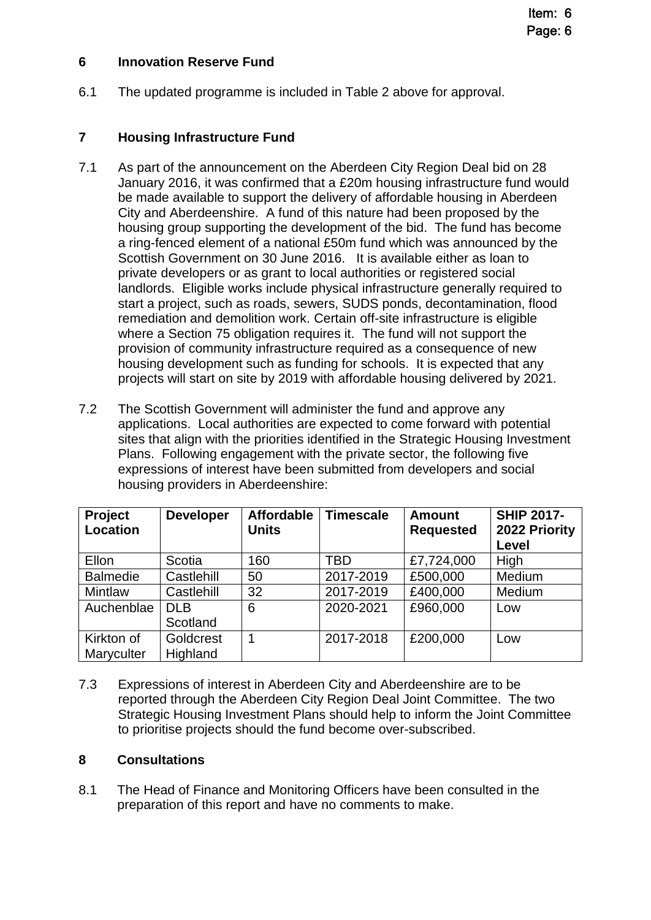## **6 Innovation Reserve Fund**

6.1 The updated programme is included in Table 2 above for approval.

# **7 Housing Infrastructure Fund**

- 7.1 As part of the announcement on the Aberdeen City Region Deal bid on 28 January 2016, it was confirmed that a £20m housing infrastructure fund would be made available to support the delivery of affordable housing in Aberdeen City and Aberdeenshire. A fund of this nature had been proposed by the housing group supporting the development of the bid. The fund has become a ring-fenced element of a national £50m fund which was announced by the Scottish Government on 30 June 2016. It is available either as loan to private developers or as grant to local authorities or registered social landlords. Eligible works include physical infrastructure generally required to start a project, such as roads, sewers, SUDS ponds, decontamination, flood remediation and demolition work. Certain off-site infrastructure is eligible where a Section 75 obligation requires it. The fund will not support the provision of community infrastructure required as a consequence of new housing development such as funding for schools. It is expected that any projects will start on site by 2019 with affordable housing delivered by 2021.
- 7.2 The Scottish Government will administer the fund and approve any applications. Local authorities are expected to come forward with potential sites that align with the priorities identified in the Strategic Housing Investment Plans. Following engagement with the private sector, the following five expressions of interest have been submitted from developers and social housing providers in Aberdeenshire:

| <b>Project</b><br>Location | <b>Developer</b>       | <b>Affordable</b><br><b>Units</b> | <b>Timescale</b> | <b>Amount</b><br><b>Requested</b> | <b>SHIP 2017-</b><br>2022 Priority<br>Level |
|----------------------------|------------------------|-----------------------------------|------------------|-----------------------------------|---------------------------------------------|
| Ellon                      | Scotia                 | 160                               | TBD              | £7,724,000                        | High                                        |
| <b>Balmedie</b>            | Castlehill             | 50                                | 2017-2019        | £500,000                          | Medium                                      |
| <b>Mintlaw</b>             | Castlehill             | 32                                | 2017-2019        | £400,000                          | Medium                                      |
| Auchenblae                 | <b>DLB</b><br>Scotland | 6                                 | 2020-2021        | £960,000                          | Low                                         |
|                            |                        |                                   |                  |                                   |                                             |
| Kirkton of<br>Maryculter   | Goldcrest<br>Highland  |                                   | 2017-2018        | £200,000                          | Low                                         |

7.3 Expressions of interest in Aberdeen City and Aberdeenshire are to be reported through the Aberdeen City Region Deal Joint Committee. The two Strategic Housing Investment Plans should help to inform the Joint Committee to prioritise projects should the fund become over-subscribed.

### **8 Consultations**

8.1 The Head of Finance and Monitoring Officers have been consulted in the preparation of this report and have no comments to make.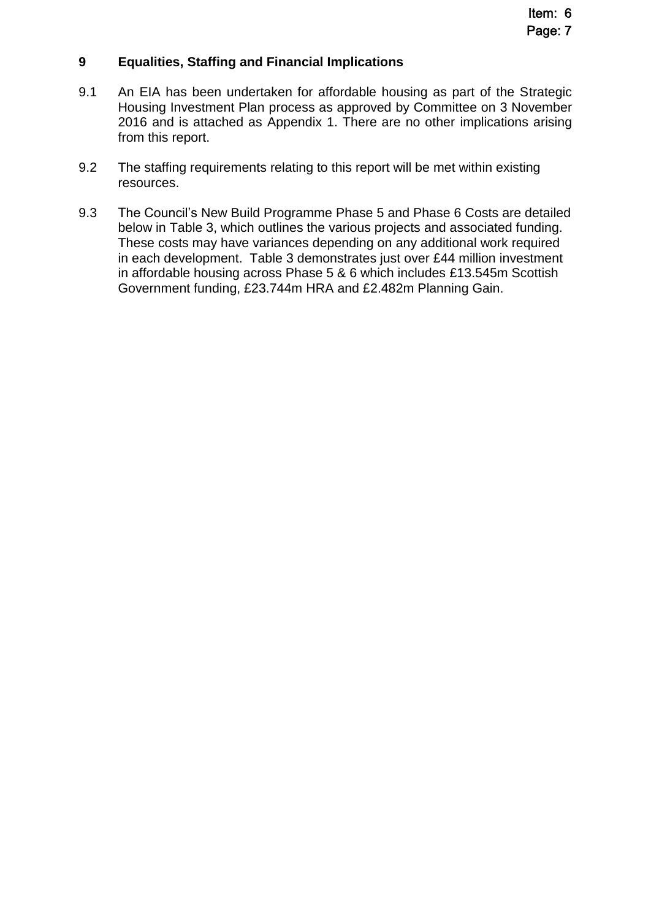### **9 Equalities, Staffing and Financial Implications**

- 9.1 An EIA has been undertaken for affordable housing as part of the Strategic Housing Investment Plan process as approved by Committee on 3 November 2016 and is attached as Appendix 1. There are no other implications arising from this report.
- 9.2 The staffing requirements relating to this report will be met within existing resources.
- 9.3 The Council's New Build Programme Phase 5 and Phase 6 Costs are detailed below in Table 3, which outlines the various projects and associated funding. These costs may have variances depending on any additional work required in each development. Table 3 demonstrates just over £44 million investment in affordable housing across Phase 5 & 6 which includes £13.545m Scottish Government funding, £23.744m HRA and £2.482m Planning Gain.